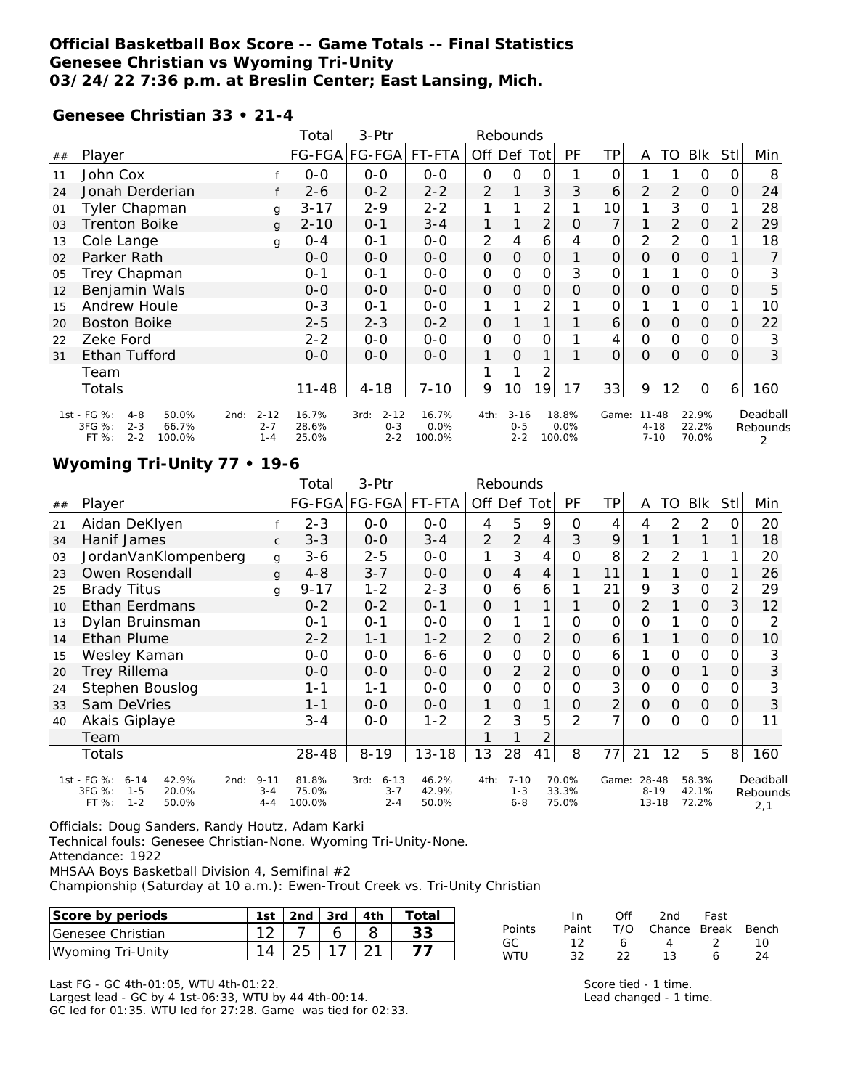### **Official Basketball Box Score -- Game Totals -- Final Statistics Genesee Christian vs Wyoming Tri-Unity 03/24/22 7:36 p.m. at Breslin Center; East Lansing, Mich.**

#### **Genesee Christian 33 • 21-4**

|    |                                                                                             |                                        | Total                   | 3-Ptr                                  | Rebounds                |                |                                |    |                         |          |                                   |          |                         |      |                           |
|----|---------------------------------------------------------------------------------------------|----------------------------------------|-------------------------|----------------------------------------|-------------------------|----------------|--------------------------------|----|-------------------------|----------|-----------------------------------|----------|-------------------------|------|---------------------------|
| ## | Player                                                                                      |                                        |                         | FG-FGA FG-FGA                          | FT-FTA                  | Off            | Def Totl                       |    | <b>PF</b>               | ΤP       | A                                 | TO.      | BIK                     | Stll | Min                       |
| 11 | John Cox                                                                                    |                                        | $0 - 0$                 | $0 - 0$                                | $O-O$                   | 0              | Ο                              | Ο  |                         | 0        |                                   |          | 0                       |      | 8                         |
| 24 | Jonah Derderian                                                                             |                                        | $2 - 6$                 | $0 - 2$                                | $2 - 2$                 | 2              |                                | 3  | 3                       | 6        | 2                                 | 2        | $\Omega$                | O    | 24                        |
| 01 | Tyler Chapman                                                                               | g                                      | $3 - 17$                | $2 - 9$                                | $2 - 2$                 |                |                                | 2  |                         | 10       |                                   | 3        | $\mathbf 0$             |      | 28                        |
| 03 | Trenton Boike                                                                               | $\mathbf{q}$                           | $2 - 10$                | $O - 1$                                | $3 - 4$                 |                |                                | 2  | 0                       | 7        |                                   | 2        | $\Omega$                |      | 29                        |
| 13 | Cole Lange                                                                                  | g                                      | $O - 4$                 | $0 - 1$                                | $0 - 0$                 | $\overline{2}$ | 4                              | 6  | 4                       | 0        | 2                                 | 2        | 0                       |      | 18                        |
| 02 | Parker Rath                                                                                 |                                        | $0 - 0$                 | $0 - 0$                                | $0 - 0$                 | $\Omega$       | 0                              | 0  |                         | $\Omega$ | $\Omega$                          | $\Omega$ | $\Omega$                |      |                           |
| 05 | Trey Chapman                                                                                |                                        | $0 - 1$                 | $0 - 1$                                | $0-0$                   | 0              | O                              | 0  | 3                       | 0        |                                   |          | $\mathbf 0$             |      | 3                         |
| 12 | Benjamin Wals                                                                               |                                        | $0 - 0$                 | $0 - 0$                                | $O-O$                   | 0              | $\Omega$                       | 0  | Ο                       | $\Omega$ | $\Omega$                          | $\Omega$ | $\overline{O}$          | Ο    | 5                         |
| 15 | Andrew Houle                                                                                |                                        | $0 - 3$                 | $0 - 1$                                | $O-O$                   |                |                                | 2  |                         | 0        |                                   |          | 0                       |      | 10                        |
| 20 | <b>Boston Boike</b>                                                                         |                                        | $2 - 5$                 | $2 - 3$                                | $0 - 2$                 | 0              |                                |    |                         | 6        | 0                                 | 0        | $\overline{O}$          | O    | 22                        |
| 22 | Zeke Ford                                                                                   |                                        | $2 - 2$                 | $O-O$                                  | $0 - 0$                 | 0              | 0                              | O  |                         | 4        | 0                                 | 0        | 0                       | O    | 3                         |
| 31 | Ethan Tufford                                                                               |                                        | $0 - 0$                 | $0 - 0$                                | $0 - 0$                 |                | 0                              |    |                         | $\Omega$ | $\Omega$                          | 0        | $\Omega$                | Ο    | 3                         |
|    | Team                                                                                        |                                        |                         |                                        |                         |                |                                |    |                         |          |                                   |          |                         |      |                           |
|    | Totals                                                                                      |                                        | $11 - 48$               | $4 - 18$                               | $7 - 10$                | 9              | 10                             | 19 | 17                      | 33       | 9                                 | 12       | $\mathbf 0$             | 6    | 160                       |
|    | 1st - FG %:<br>50.0%<br>$4 - 8$<br>3FG %:<br>$2 - 3$<br>66.7%<br>$2 - 2$<br>FT %:<br>100.0% | $2 - 12$<br>2nd:<br>$2 - 7$<br>$1 - 4$ | 16.7%<br>28.6%<br>25.0% | $2 - 12$<br>3rd:<br>$0 - 3$<br>$2 - 2$ | 16.7%<br>0.0%<br>100.0% | 4th:           | $3 - 16$<br>$0 - 5$<br>$2 - 2$ |    | 18.8%<br>0.0%<br>100.0% | Game:    | $11 - 48$<br>$4 - 18$<br>$7 - 10$ |          | 22.9%<br>22.2%<br>70.0% |      | Deadball<br>Rebounds<br>2 |

## **Wyoming Tri-Unity 77 • 19-6**

|    |                                                                                                     |                                | Total                    | 3-Ptr                                  | Rebounds                |                     |                                |                |                         |                |                                |             |                         |                |                             |
|----|-----------------------------------------------------------------------------------------------------|--------------------------------|--------------------------|----------------------------------------|-------------------------|---------------------|--------------------------------|----------------|-------------------------|----------------|--------------------------------|-------------|-------------------------|----------------|-----------------------------|
| ## | Player                                                                                              |                                |                          | FG-FGA FG-FGA                          | FT-FTA                  | Off Def Tot         |                                |                | PF                      | ΤP             | A                              | TO          | Blk                     | Stll           | Min                         |
| 21 | Aidan DeKlyen                                                                                       |                                | $2 - 3$                  | $0 - 0$                                | $0 - 0$                 | 4                   | 5                              | 9              | 0                       | 4              | 4                              | 2           | 2                       | $\Omega$       | 20                          |
| 34 | Hanif James                                                                                         | $\mathsf{C}$                   | $3 - 3$                  | $0-0$                                  | $3 - 4$                 | 2                   | $\overline{2}$                 | $\overline{4}$ | 3                       | 9              |                                |             | 1                       |                | 18                          |
| 03 | JordanVanKlompenberg                                                                                | g                              | $3-6$                    | $2 - 5$                                | $0-0$                   | 1                   | 3                              | 4              | 0                       | 8              | 2                              | 2           |                         |                | 20                          |
| 23 | Owen Rosendall                                                                                      | g                              | $4 - 8$                  | $3 - 7$                                | $0 - 0$                 | $\Omega$            | 4                              | $\overline{4}$ |                         | 11             |                                |             | $\Omega$                |                | 26                          |
| 25 | <b>Brady Titus</b>                                                                                  | g                              | $9 - 17$                 | $1 - 2$                                | $2 - 3$                 | O                   | 6                              | 6              |                         | 21             | 9                              | 3           | $\mathbf 0$             |                | 29                          |
| 10 | Ethan Eerdmans                                                                                      |                                | $0 - 2$                  | $0 - 2$                                | $0 - 1$                 | $\mathbf{O}$        |                                | 1              |                         | 0              | 2                              |             | $\mathbf{O}$            | 3              | 12                          |
| 13 | Dylan Bruinsman                                                                                     |                                | $0 - 1$                  | $0 - 1$                                | $0 - 0$                 | $\mathsf{O}\xspace$ |                                | 1              | O                       | 0              | $\Omega$                       |             | 0                       | Ο              | 2                           |
| 14 | Ethan Plume                                                                                         |                                | $2 - 2$                  | $1 - 1$                                | $1 - 2$                 | 2                   | $\mathsf O$                    | $\overline{2}$ | $\mathsf{O}\xspace$     | 6              |                                |             | $\mathcal{O}$           | 0              | 10                          |
| 15 | Wesley Kaman                                                                                        |                                | $0 - 0$                  | $O-O$                                  | $6 - 6$                 | 0                   | 0                              | $\mathsf{O}$   | O                       | 6              | 1                              | O           | $\mathbf 0$             | 0              | 3                           |
| 20 | <b>Trey Rillema</b>                                                                                 |                                | $0 - 0$                  | $O - O$                                | $0 - 0$                 | $\mathsf{O}\xspace$ | 2                              | $\overline{2}$ | O                       | 0              | 0                              | $\Omega$    | 1                       | 0              | 3                           |
| 24 | Stephen Bouslog                                                                                     |                                | $1 - 1$                  | 1-1                                    | $0-0$                   | $\mathsf{O}\xspace$ | $\overline{O}$                 | $\mathsf{O}$   | O                       | 3              | 0                              | $\mathbf 0$ | $\mathcal{O}$           | 0              | 3                           |
| 33 | Sam DeVries                                                                                         |                                | $1 - 1$                  | $0 - 0$                                | $0 - 0$                 | $\mathbf{1}$        | $\Omega$                       | $\mathbf{1}$   | 0                       | $\overline{2}$ | $\mathcal{O}$                  | $\Omega$    | $\mathbf{O}$            | 0              | 3                           |
| 40 | Akais Giplaye                                                                                       |                                | $3 - 4$                  | $0 - 0$                                | $1 - 2$                 | $\overline{2}$      | 3                              | 5              | $\mathcal{P}$           | 7              | $\Omega$                       | $\Omega$    | $\Omega$                | 0              | 11                          |
|    | Team                                                                                                |                                |                          |                                        |                         |                     |                                | $\overline{2}$ |                         |                |                                |             |                         |                |                             |
|    | Totals                                                                                              |                                | 28-48                    | $8 - 19$                               | $13 - 18$               | 13                  | 28                             | 41             | 8                       | 77             | 21                             | 12          | 5                       | 8 <sup>1</sup> | 160                         |
|    | 1st - FG %:<br>42.9%<br>$6 - 14$<br>2nd:<br>3FG %:<br>$1 - 5$<br>20.0%<br>FT %:<br>$1 - 2$<br>50.0% | $9 - 11$<br>$3 - 4$<br>$4 - 4$ | 81.8%<br>75.0%<br>100.0% | $6 - 13$<br>3rd:<br>$3 - 7$<br>$2 - 4$ | 46.2%<br>42.9%<br>50.0% | 4th:                | $7 - 10$<br>$1 - 3$<br>$6 - 8$ |                | 70.0%<br>33.3%<br>75.0% | Game:          | 28-48<br>$8 - 19$<br>$13 - 18$ |             | 58.3%<br>42.1%<br>72.2% |                | Deadball<br>Rebounds<br>2,1 |

Officials: Doug Sanders, Randy Houtz, Adam Karki

Technical fouls: Genesee Christian-None. Wyoming Tri-Unity-None.

Attendance: 1922

MHSAA Boys Basketball Division 4, Semifinal #2

Championship (Saturday at 10 a.m.): Ewen-Trout Creek vs. Tri-Unity Christian

| Score by periods         | <sub>st</sub> | 2nd                  | 3rd | 4th           | Total         |           |               | Ofi           | 2 <sub>nd</sub> | Fast         |          |
|--------------------------|---------------|----------------------|-----|---------------|---------------|-----------|---------------|---------------|-----------------|--------------|----------|
| <b>Genesee Christian</b> | $\sim$        |                      |     |               | $\cap$<br>ں ں | Points    | Paint         | T/O           | Chance          | <b>Break</b> | Bench    |
| l Wyomina<br>Tri-Unitv   |               | $\cap$ $\Gamma$<br>ے |     | $\sim$ 1<br>_ |               | GC<br>WTU | $\sim$<br>ے ت | $\sim$<br>ے ے |                 |              | 10<br>24 |

Last FG - GC 4th-01:05, WTU 4th-01:22. Largest lead - GC by 4 1st-06:33, WTU by 44 4th-00:14. GC led for 01:35. WTU led for 27:28. Game was tied for 02:33.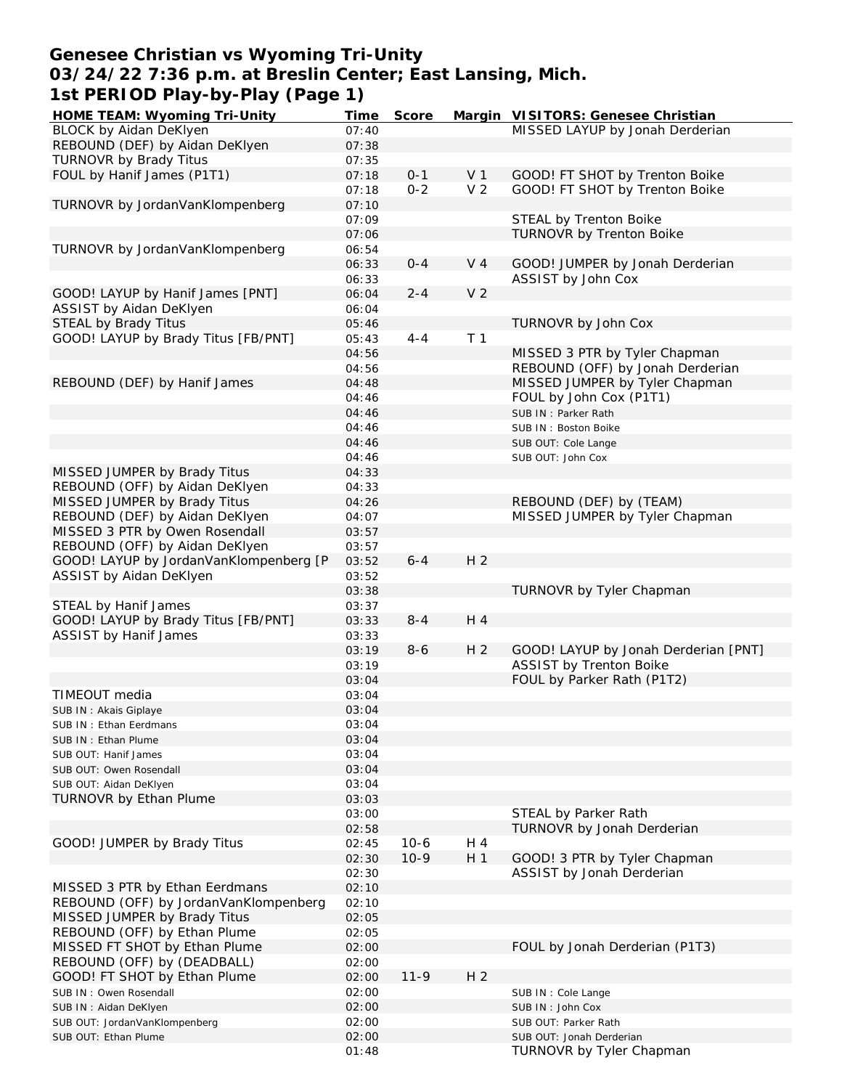## **Genesee Christian vs Wyoming Tri-Unity 03/24/22 7:36 p.m. at Breslin Center; East Lansing, Mich. 1st PERIOD Play-by-Play (Page 1)**

| HOME TEAM: Wyoming Tri-Unity           | Time  | Score   |                | Margin VISITORS: Genesee Christian   |
|----------------------------------------|-------|---------|----------------|--------------------------------------|
| BLOCK by Aidan DeKlyen                 | 07:40 |         |                | MISSED LAYUP by Jonah Derderian      |
| REBOUND (DEF) by Aidan DeKlyen         | 07:38 |         |                |                                      |
| TURNOVR by Brady Titus                 | 07:35 |         |                |                                      |
| FOUL by Hanif James (P1T1)             | 07:18 | $0 - 1$ | V <sub>1</sub> | GOOD! FT SHOT by Trenton Boike       |
|                                        | 07:18 | $0 - 2$ | V <sub>2</sub> | GOOD! FT SHOT by Trenton Boike       |
| TURNOVR by JordanVanKlompenberg        | 07:10 |         |                |                                      |
|                                        | 07:09 |         |                | STEAL by Trenton Boike               |
|                                        | 07:06 |         |                | TURNOVR by Trenton Boike             |
| TURNOVR by JordanVanKlompenberg        | 06:54 |         |                |                                      |
|                                        |       |         |                |                                      |
|                                        | 06:33 | $0 - 4$ | V <sub>4</sub> | GOOD! JUMPER by Jonah Derderian      |
|                                        | 06:33 |         |                | ASSIST by John Cox                   |
| GOOD! LAYUP by Hanif James [PNT]       | 06:04 | $2 - 4$ | V <sub>2</sub> |                                      |
| ASSIST by Aidan DeKlyen                | 06:04 |         |                |                                      |
| STEAL by Brady Titus                   | 05:46 |         |                | TURNOVR by John Cox                  |
| GOOD! LAYUP by Brady Titus [FB/PNT]    | 05:43 | $4 - 4$ | T <sub>1</sub> |                                      |
|                                        | 04:56 |         |                | MISSED 3 PTR by Tyler Chapman        |
|                                        | 04:56 |         |                | REBOUND (OFF) by Jonah Derderian     |
| REBOUND (DEF) by Hanif James           | 04:48 |         |                | MISSED JUMPER by Tyler Chapman       |
|                                        | 04:46 |         |                | FOUL by John Cox (P1T1)              |
|                                        | 04:46 |         |                | SUB IN: Parker Rath                  |
|                                        | 04:46 |         |                | SUB IN: Boston Boike                 |
|                                        | 04:46 |         |                |                                      |
|                                        |       |         |                | SUB OUT: Cole Lange                  |
|                                        | 04:46 |         |                | SUB OUT: John Cox                    |
| MISSED JUMPER by Brady Titus           | 04:33 |         |                |                                      |
| REBOUND (OFF) by Aidan DeKlyen         | 04:33 |         |                |                                      |
| MISSED JUMPER by Brady Titus           | 04:26 |         |                | REBOUND (DEF) by (TEAM)              |
| REBOUND (DEF) by Aidan DeKlyen         | 04:07 |         |                | MISSED JUMPER by Tyler Chapman       |
| MISSED 3 PTR by Owen Rosendall         | 03:57 |         |                |                                      |
| REBOUND (OFF) by Aidan DeKlyen         | 03:57 |         |                |                                      |
| GOOD! LAYUP by JordanVanKlompenberg [P | 03:52 | $6 - 4$ | H <sub>2</sub> |                                      |
| ASSIST by Aidan DeKlyen                | 03:52 |         |                |                                      |
|                                        | 03:38 |         |                | TURNOVR by Tyler Chapman             |
| STEAL by Hanif James                   | 03:37 |         |                |                                      |
| GOOD! LAYUP by Brady Titus [FB/PNT]    | 03:33 | $8 - 4$ | H 4            |                                      |
| <b>ASSIST by Hanif James</b>           | 03:33 |         |                |                                      |
|                                        | 03:19 | $8 - 6$ | H <sub>2</sub> | GOOD! LAYUP by Jonah Derderian [PNT] |
|                                        |       |         |                | ASSIST by Trenton Boike              |
|                                        | 03:19 |         |                |                                      |
|                                        | 03:04 |         |                | FOUL by Parker Rath (P1T2)           |
| TIMEOUT media                          | 03:04 |         |                |                                      |
| SUB IN: Akais Giplaye                  | 03:04 |         |                |                                      |
| SUB IN: Ethan Eerdmans                 | 03:04 |         |                |                                      |
| SUB IN: Ethan Plume                    | 03:04 |         |                |                                      |
| SUB OUT: Hanif James                   | 03:04 |         |                |                                      |
| SUB OUT: Owen Rosendall                | 03:04 |         |                |                                      |
| SUB OUT: Aidan DeKlyen                 | 03:04 |         |                |                                      |
| TURNOVR by Ethan Plume                 | 03:03 |         |                |                                      |
|                                        | 03:00 |         |                | STEAL by Parker Rath                 |
|                                        | 02:58 |         |                | TURNOVR by Jonah Derderian           |
| GOOD! JUMPER by Brady Titus            | 02:45 | $10-6$  | H 4            |                                      |
|                                        | 02:30 | $10-9$  | H <sub>1</sub> | GOOD! 3 PTR by Tyler Chapman         |
|                                        | 02:30 |         |                | ASSIST by Jonah Derderian            |
|                                        |       |         |                |                                      |
| MISSED 3 PTR by Ethan Eerdmans         | 02:10 |         |                |                                      |
| REBOUND (OFF) by JordanVanKlompenberg  | 02:10 |         |                |                                      |
| MISSED JUMPER by Brady Titus           | 02:05 |         |                |                                      |
| REBOUND (OFF) by Ethan Plume           | 02:05 |         |                |                                      |
| MISSED FT SHOT by Ethan Plume          | 02:00 |         |                | FOUL by Jonah Derderian (P1T3)       |
| REBOUND (OFF) by (DEADBALL)            | 02:00 |         |                |                                      |
| GOOD! FT SHOT by Ethan Plume           | 02:00 | $11-9$  | H <sub>2</sub> |                                      |
| SUB IN: Owen Rosendall                 | 02:00 |         |                | SUB IN : Cole Lange                  |
| SUB IN: Aidan DeKlyen                  | 02:00 |         |                | SUB IN: John Cox                     |
| SUB OUT: JordanVanKlompenberg          | 02:00 |         |                | SUB OUT: Parker Rath                 |
| SUB OUT: Ethan Plume                   | 02:00 |         |                | SUB OUT: Jonah Derderian             |
|                                        | 01:48 |         |                | TURNOVR by Tyler Chapman             |
|                                        |       |         |                |                                      |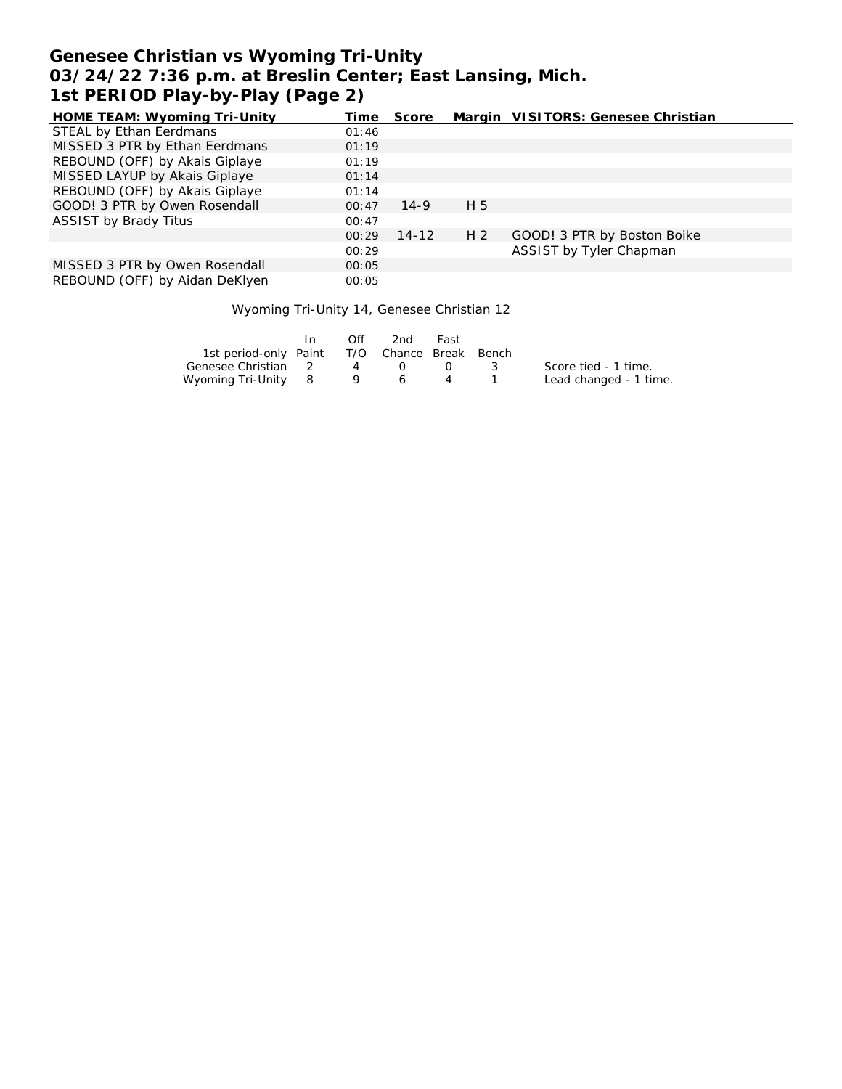# **Genesee Christian vs Wyoming Tri-Unity 03/24/22 7:36 p.m. at Breslin Center; East Lansing, Mich. 1st PERIOD Play-by-Play (Page 2)**

| HOME TEAM: Wyoming Tri-Unity   | Time  | Score     |                | Margin VISITORS: Genesee Christian |
|--------------------------------|-------|-----------|----------------|------------------------------------|
| STEAL by Ethan Eerdmans        | 01:46 |           |                |                                    |
| MISSED 3 PTR by Ethan Eerdmans | 01:19 |           |                |                                    |
| REBOUND (OFF) by Akais Giplaye | 01:19 |           |                |                                    |
| MISSED LAYUP by Akais Giplaye  | 01:14 |           |                |                                    |
| REBOUND (OFF) by Akais Giplaye | 01:14 |           |                |                                    |
| GOOD! 3 PTR by Owen Rosendall  | 00:47 | $14-9$    | H 5            |                                    |
| <b>ASSIST by Brady Titus</b>   | 00:47 |           |                |                                    |
|                                | 00:29 | $14 - 12$ | H <sub>2</sub> | GOOD! 3 PTR by Boston Boike        |
|                                | 00:29 |           |                | ASSIST by Tyler Chapman            |
| MISSED 3 PTR by Owen Rosendall | 00:05 |           |                |                                    |
| REBOUND (OFF) by Aidan DeKlyen | 00:05 |           |                |                                    |

### Wyoming Tri-Unity 14, Genesee Christian 12

|                                              | In. | Off. | 2nd      | Fast             |                   |                        |
|----------------------------------------------|-----|------|----------|------------------|-------------------|------------------------|
| 1st period-only Paint T/O Chance Break Bench |     |      |          |                  |                   |                        |
| Genesee Christian 2                          |     | 4    | $\Omega$ | $\left( \right)$ | $\sim$ 3.4 $\sim$ | Score tied - 1 time.   |
| Wyoming Tri-Unity 8                          |     |      | 6        |                  |                   | Lead changed - 1 time. |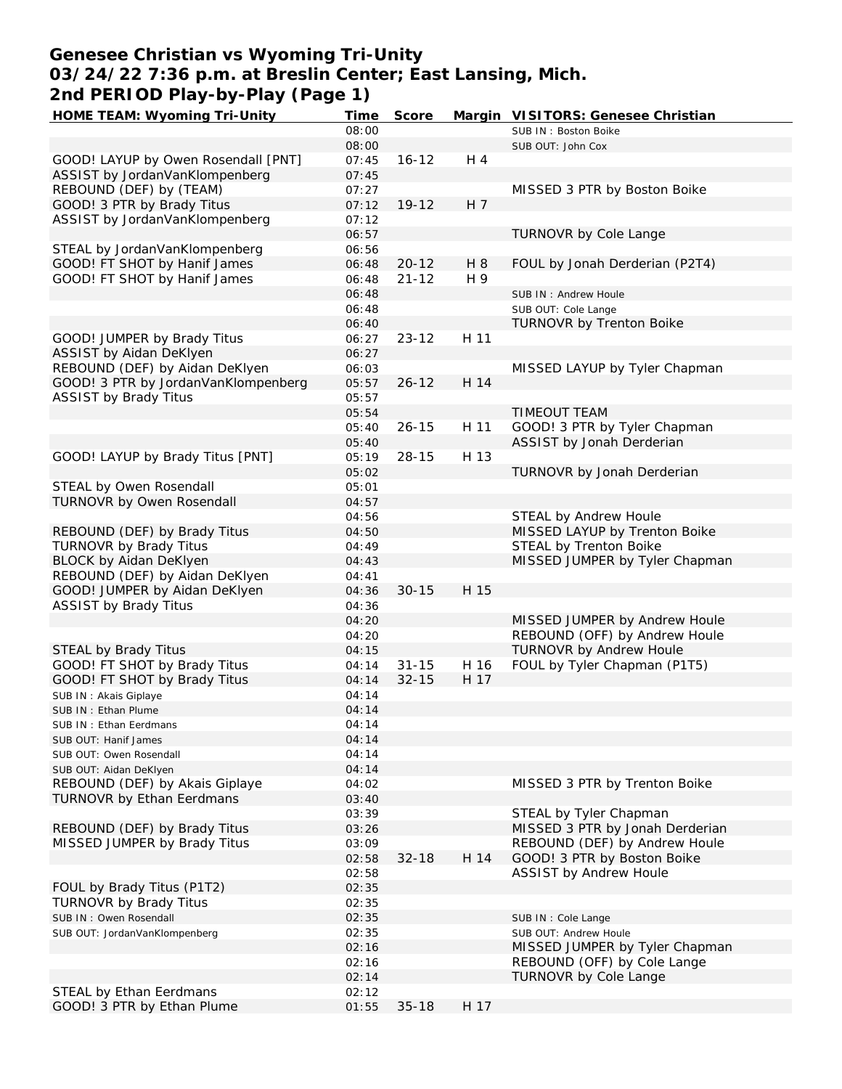# **Genesee Christian vs Wyoming Tri-Unity 03/24/22 7:36 p.m. at Breslin Center; East Lansing, Mich. 2nd PERIOD Play-by-Play (Page 1)**

| HOME TEAM: Wyoming Tri-Unity        | Time  | Score     |      | Margin VISITORS: Genesee Christian |
|-------------------------------------|-------|-----------|------|------------------------------------|
|                                     | 08:00 |           |      | SUB IN: Boston Boike               |
|                                     | 08:00 |           |      | SUB OUT: John Cox                  |
| GOOD! LAYUP by Owen Rosendall [PNT] | 07:45 | $16 - 12$ | H 4  |                                    |
| ASSIST by JordanVanKlompenberg      | 07:45 |           |      |                                    |
| REBOUND (DEF) by (TEAM)             | 07:27 |           |      | MISSED 3 PTR by Boston Boike       |
| GOOD! 3 PTR by Brady Titus          | 07:12 | $19 - 12$ | H 7  |                                    |
| ASSIST by JordanVanKlompenberg      | 07:12 |           |      |                                    |
|                                     | 06:57 |           |      | TURNOVR by Cole Lange              |
| STEAL by JordanVanKlompenberg       | 06:56 |           |      |                                    |
| GOOD! FT SHOT by Hanif James        | 06:48 | $20 - 12$ | H 8  | FOUL by Jonah Derderian (P2T4)     |
| GOOD! FT SHOT by Hanif James        | 06:48 | $21 - 12$ | H 9  |                                    |
|                                     | 06:48 |           |      | SUB IN: Andrew Houle               |
|                                     | 06:48 |           |      |                                    |
|                                     |       |           |      | SUB OUT: Cole Lange                |
|                                     | 06:40 |           |      | <b>TURNOVR by Trenton Boike</b>    |
| GOOD! JUMPER by Brady Titus         | 06:27 | $23 - 12$ | H 11 |                                    |
| ASSIST by Aidan DeKlyen             | 06:27 |           |      |                                    |
| REBOUND (DEF) by Aidan DeKlyen      | 06:03 |           |      | MISSED LAYUP by Tyler Chapman      |
| GOOD! 3 PTR by JordanVanKlompenberg | 05:57 | $26 - 12$ | H 14 |                                    |
| <b>ASSIST by Brady Titus</b>        | 05:57 |           |      |                                    |
|                                     | 05:54 |           |      | <b>TIMEOUT TEAM</b>                |
|                                     | 05:40 | $26 - 15$ | H 11 | GOOD! 3 PTR by Tyler Chapman       |
|                                     | 05:40 |           |      | ASSIST by Jonah Derderian          |
| GOOD! LAYUP by Brady Titus [PNT]    | 05:19 | $28 - 15$ | H 13 |                                    |
|                                     | 05:02 |           |      | TURNOVR by Jonah Derderian         |
| STEAL by Owen Rosendall             | 05:01 |           |      |                                    |
| TURNOVR by Owen Rosendall           | 04:57 |           |      |                                    |
|                                     | 04:56 |           |      | STEAL by Andrew Houle              |
| REBOUND (DEF) by Brady Titus        | 04:50 |           |      | MISSED LAYUP by Trenton Boike      |
| TURNOVR by Brady Titus              | 04:49 |           |      | STEAL by Trenton Boike             |
| BLOCK by Aidan DeKlyen              | 04:43 |           |      | MISSED JUMPER by Tyler Chapman     |
| REBOUND (DEF) by Aidan DeKlyen      | 04:41 |           |      |                                    |
| GOOD! JUMPER by Aidan DeKlyen       | 04:36 | $30 - 15$ | H 15 |                                    |
| <b>ASSIST by Brady Titus</b>        | 04:36 |           |      |                                    |
|                                     | 04:20 |           |      | MISSED JUMPER by Andrew Houle      |
|                                     | 04:20 |           |      | REBOUND (OFF) by Andrew Houle      |
| STEAL by Brady Titus                | 04:15 |           |      | <b>TURNOVR by Andrew Houle</b>     |
| GOOD! FT SHOT by Brady Titus        | 04:14 | $31 - 15$ | H 16 | FOUL by Tyler Chapman (P1T5)       |
|                                     |       | $32 - 15$ | H 17 |                                    |
| GOOD! FT SHOT by Brady Titus        | 04:14 |           |      |                                    |
| SUB IN: Akais Giplaye               | 04:14 |           |      |                                    |
| SUB IN: Ethan Plume                 | 04:14 |           |      |                                    |
| SUB IN: Ethan Eerdmans              | 04:14 |           |      |                                    |
| SUB OUT: Hanif James                | 04:14 |           |      |                                    |
| SUB OUT: Owen Rosendall             | 04:14 |           |      |                                    |
| SUB OUT: Aidan DeKlyen              | 04:14 |           |      |                                    |
| REBOUND (DEF) by Akais Giplaye      | 04:02 |           |      | MISSED 3 PTR by Trenton Boike      |
| <b>TURNOVR by Ethan Eerdmans</b>    | 03:40 |           |      |                                    |
|                                     | 03:39 |           |      | STEAL by Tyler Chapman             |
| REBOUND (DEF) by Brady Titus        | 03:26 |           |      | MISSED 3 PTR by Jonah Derderian    |
| MISSED JUMPER by Brady Titus        | 03:09 |           |      | REBOUND (DEF) by Andrew Houle      |
|                                     | 02:58 | $32 - 18$ | H 14 | GOOD! 3 PTR by Boston Boike        |
|                                     | 02:58 |           |      | ASSIST by Andrew Houle             |
| FOUL by Brady Titus (P1T2)          | 02:35 |           |      |                                    |
| TURNOVR by Brady Titus              | 02:35 |           |      |                                    |
| SUB IN: Owen Rosendall              | 02:35 |           |      | SUB IN : Cole Lange                |
| SUB OUT: JordanVanKlompenberg       | 02:35 |           |      | SUB OUT: Andrew Houle              |
|                                     | 02:16 |           |      | MISSED JUMPER by Tyler Chapman     |
|                                     | 02:16 |           |      | REBOUND (OFF) by Cole Lange        |
|                                     | 02:14 |           |      | TURNOVR by Cole Lange              |
| STEAL by Ethan Eerdmans             | 02:12 |           |      |                                    |
| GOOD! 3 PTR by Ethan Plume          | 01:55 | $35 - 18$ | H 17 |                                    |
|                                     |       |           |      |                                    |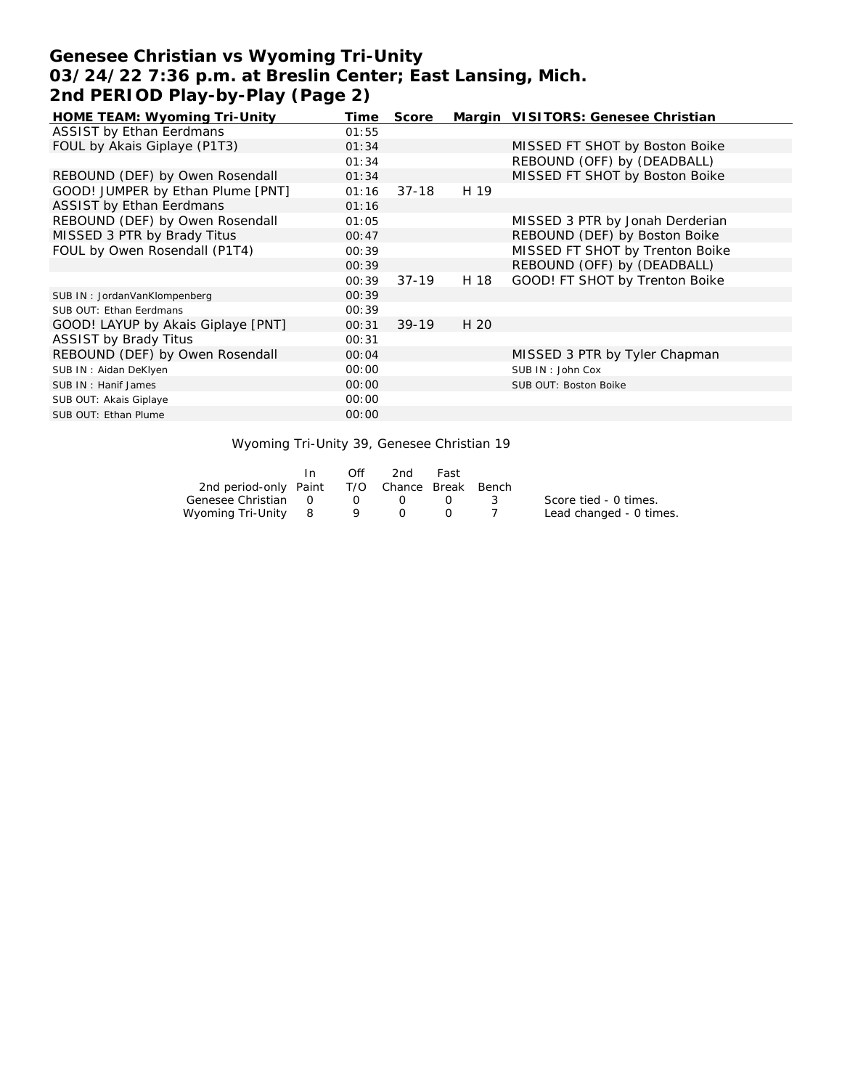# **Genesee Christian vs Wyoming Tri-Unity 03/24/22 7:36 p.m. at Breslin Center; East Lansing, Mich. 2nd PERIOD Play-by-Play (Page 2)**

| HOME TEAM: Wyoming Tri-Unity       | Time  | Score   |      | Margin VISITORS: Genesee Christian |
|------------------------------------|-------|---------|------|------------------------------------|
| <b>ASSIST by Ethan Eerdmans</b>    | 01:55 |         |      |                                    |
| FOUL by Akais Giplaye (P1T3)       | 01:34 |         |      | MISSED FT SHOT by Boston Boike     |
|                                    | 01:34 |         |      | REBOUND (OFF) by (DEADBALL)        |
| REBOUND (DEF) by Owen Rosendall    | 01:34 |         |      | MISSED FT SHOT by Boston Boike     |
| GOOD! JUMPER by Ethan Plume [PNT]  | 01:16 | $37-18$ | H 19 |                                    |
| <b>ASSIST by Ethan Eerdmans</b>    | 01:16 |         |      |                                    |
| REBOUND (DEF) by Owen Rosendall    | 01:05 |         |      | MISSED 3 PTR by Jonah Derderian    |
| MISSED 3 PTR by Brady Titus        | 00:47 |         |      | REBOUND (DEF) by Boston Boike      |
| FOUL by Owen Rosendall (P1T4)      | 00:39 |         |      | MISSED FT SHOT by Trenton Boike    |
|                                    | 00:39 |         |      | REBOUND (OFF) by (DEADBALL)        |
|                                    | 00:39 | $37-19$ | H 18 | GOOD! FT SHOT by Trenton Boike     |
| SUB IN: JordanVanKlompenberg       | 00:39 |         |      |                                    |
| SUB OUT: Ethan Eerdmans            | 00:39 |         |      |                                    |
| GOOD! LAYUP by Akais Giplaye [PNT] | 00:31 | $39-19$ | H 20 |                                    |
| <b>ASSIST by Brady Titus</b>       | 00:31 |         |      |                                    |
| REBOUND (DEF) by Owen Rosendall    | 00:04 |         |      | MISSED 3 PTR by Tyler Chapman      |
| SUB IN: Aidan DeKlyen              | 00:00 |         |      | SUB IN: John Cox                   |
| SUB IN: Hanif James                | 00:00 |         |      | SUB OUT: Boston Boike              |
| SUB OUT: Akais Giplaye             | 00:00 |         |      |                                    |
| SUB OUT: Ethan Plume               | 00:00 |         |      |                                    |

### Wyoming Tri-Unity 39, Genesee Christian 19

|                                              | Off                               | 2nd       | Fast |                |                         |
|----------------------------------------------|-----------------------------------|-----------|------|----------------|-------------------------|
| 2nd period-only Paint T/O Chance Break Bench |                                   |           |      |                |                         |
| Genesee Christian 0                          | $\overline{O}$ and $\overline{O}$ | $\bigcap$ |      | $\mathbb{R}^2$ | Score tied - 0 times.   |
| Wyoming Tri-Unity 8 9 0                      |                                   |           |      |                | Lead changed - 0 times. |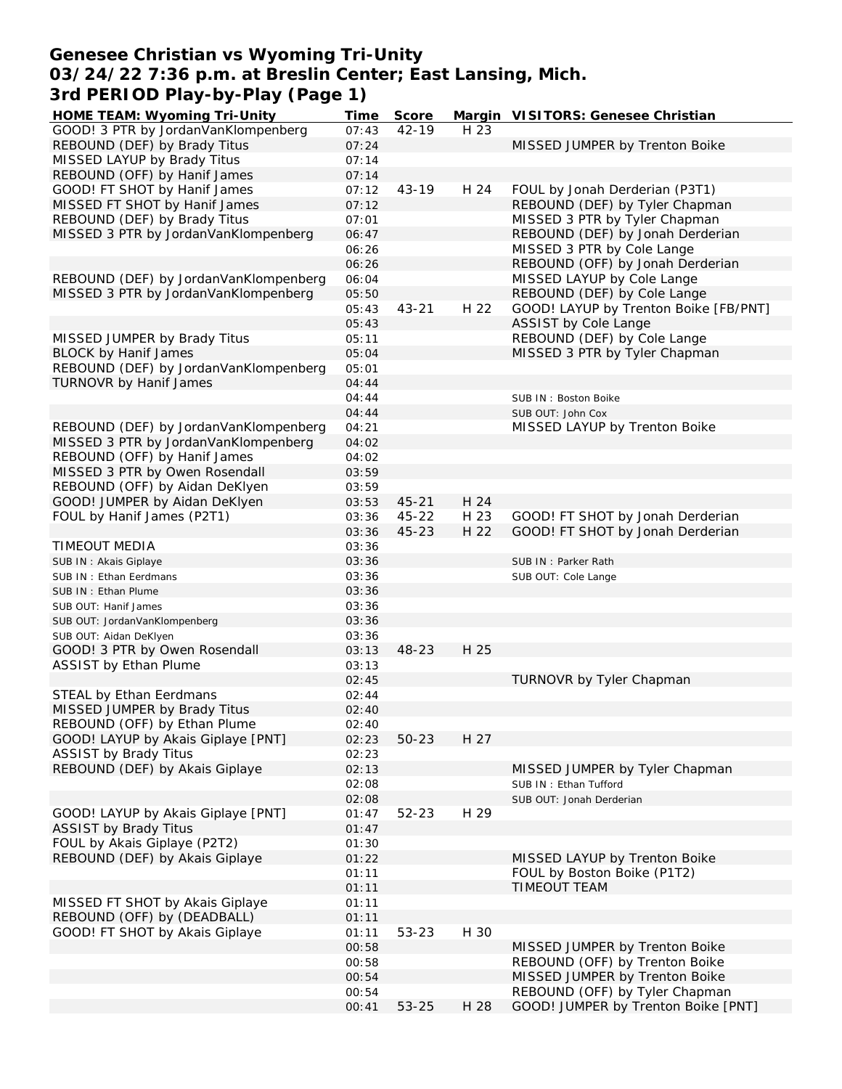# **Genesee Christian vs Wyoming Tri-Unity 03/24/22 7:36 p.m. at Breslin Center; East Lansing, Mich. 3rd PERIOD Play-by-Play (Page 1)**

| HOME TEAM: Wyoming Tri-Unity          | Time  | Score     |      | Margin VISITORS: Genesee Christian    |
|---------------------------------------|-------|-----------|------|---------------------------------------|
| GOOD! 3 PTR by JordanVanKlompenberg   | 07:43 | $42 - 19$ | H 23 |                                       |
| REBOUND (DEF) by Brady Titus          | 07:24 |           |      | MISSED JUMPER by Trenton Boike        |
| MISSED LAYUP by Brady Titus           | 07:14 |           |      |                                       |
| REBOUND (OFF) by Hanif James          | 07:14 |           |      |                                       |
| GOOD! FT SHOT by Hanif James          | 07:12 | $43 - 19$ | H 24 | FOUL by Jonah Derderian (P3T1)        |
| MISSED FT SHOT by Hanif James         | 07:12 |           |      | REBOUND (DEF) by Tyler Chapman        |
|                                       |       |           |      |                                       |
| REBOUND (DEF) by Brady Titus          | 07:01 |           |      | MISSED 3 PTR by Tyler Chapman         |
| MISSED 3 PTR by JordanVanKlompenberg  | 06:47 |           |      | REBOUND (DEF) by Jonah Derderian      |
|                                       | 06:26 |           |      | MISSED 3 PTR by Cole Lange            |
|                                       | 06:26 |           |      | REBOUND (OFF) by Jonah Derderian      |
| REBOUND (DEF) by JordanVanKlompenberg | 06:04 |           |      | MISSED LAYUP by Cole Lange            |
| MISSED 3 PTR by JordanVanKlompenberg  | 05:50 |           |      | REBOUND (DEF) by Cole Lange           |
|                                       | 05:43 | $43 - 21$ | H 22 | GOOD! LAYUP by Trenton Boike [FB/PNT] |
|                                       | 05:43 |           |      | ASSIST by Cole Lange                  |
| MISSED JUMPER by Brady Titus          | 05:11 |           |      | REBOUND (DEF) by Cole Lange           |
| <b>BLOCK by Hanif James</b>           | 05:04 |           |      | MISSED 3 PTR by Tyler Chapman         |
| REBOUND (DEF) by JordanVanKlompenberg | 05:01 |           |      |                                       |
| TURNOVR by Hanif James                | 04:44 |           |      |                                       |
|                                       |       |           |      |                                       |
|                                       | 04:44 |           |      | SUB IN: Boston Boike                  |
|                                       | 04:44 |           |      | SUB OUT: John Cox                     |
| REBOUND (DEF) by JordanVanKlompenberg | 04:21 |           |      | MISSED LAYUP by Trenton Boike         |
| MISSED 3 PTR by JordanVanKlompenberg  | 04:02 |           |      |                                       |
| REBOUND (OFF) by Hanif James          | 04:02 |           |      |                                       |
| MISSED 3 PTR by Owen Rosendall        | 03:59 |           |      |                                       |
| REBOUND (OFF) by Aidan DeKlyen        | 03:59 |           |      |                                       |
| GOOD! JUMPER by Aidan DeKlyen         | 03:53 | $45 - 21$ | H 24 |                                       |
| FOUL by Hanif James (P2T1)            | 03:36 | $45 - 22$ | H 23 | GOOD! FT SHOT by Jonah Derderian      |
|                                       | 03:36 | $45 - 23$ | H 22 | GOOD! FT SHOT by Jonah Derderian      |
| TIMEOUT MEDIA                         | 03:36 |           |      |                                       |
| SUB IN: Akais Giplaye                 | 03:36 |           |      | SUB IN: Parker Rath                   |
|                                       | 03:36 |           |      |                                       |
| SUB IN: Ethan Eerdmans                |       |           |      | SUB OUT: Cole Lange                   |
| SUB IN: Ethan Plume                   | 03:36 |           |      |                                       |
| SUB OUT: Hanif James                  | 03:36 |           |      |                                       |
| SUB OUT: JordanVanKlompenberg         | 03:36 |           |      |                                       |
| SUB OUT: Aidan DeKlyen                | 03:36 |           |      |                                       |
| GOOD! 3 PTR by Owen Rosendall         | 03:13 | 48-23     | H 25 |                                       |
| <b>ASSIST by Ethan Plume</b>          | 03:13 |           |      |                                       |
|                                       | 02:45 |           |      | TURNOVR by Tyler Chapman              |
| STEAL by Ethan Eerdmans               | 02:44 |           |      |                                       |
| MISSED JUMPER by Brady Titus          | 02:40 |           |      |                                       |
| REBOUND (OFF) by Ethan Plume          | 02:40 |           |      |                                       |
| GOOD! LAYUP by Akais Giplaye [PNT]    | 02:23 | 50-23     | H 27 |                                       |
| <b>ASSIST by Brady Titus</b>          | 02:23 |           |      |                                       |
| REBOUND (DEF) by Akais Giplaye        | 02:13 |           |      | MISSED JUMPER by Tyler Chapman        |
|                                       | 02:08 |           |      | SUB IN: Ethan Tufford                 |
|                                       |       |           |      |                                       |
|                                       | 02:08 |           |      | SUB OUT: Jonah Derderian              |
| GOOD! LAYUP by Akais Giplaye [PNT]    | 01:47 | $52 - 23$ | H 29 |                                       |
| <b>ASSIST by Brady Titus</b>          | 01:47 |           |      |                                       |
| FOUL by Akais Giplaye (P2T2)          | 01:30 |           |      |                                       |
| REBOUND (DEF) by Akais Giplaye        | 01:22 |           |      | MISSED LAYUP by Trenton Boike         |
|                                       | 01:11 |           |      | FOUL by Boston Boike (P1T2)           |
|                                       | 01:11 |           |      | <b>TIMEOUT TEAM</b>                   |
| MISSED FT SHOT by Akais Giplaye       | 01:11 |           |      |                                       |
| REBOUND (OFF) by (DEADBALL)           | 01:11 |           |      |                                       |
| GOOD! FT SHOT by Akais Giplaye        | 01:11 | 53-23     | H 30 |                                       |
|                                       | 00:58 |           |      | MISSED JUMPER by Trenton Boike        |
|                                       | 00:58 |           |      | REBOUND (OFF) by Trenton Boike        |
|                                       | 00:54 |           |      | MISSED JUMPER by Trenton Boike        |
|                                       |       |           |      | REBOUND (OFF) by Tyler Chapman        |
|                                       | 00:54 |           |      |                                       |
|                                       | 00:41 | 53-25     | H 28 | GOOD! JUMPER by Trenton Boike [PNT]   |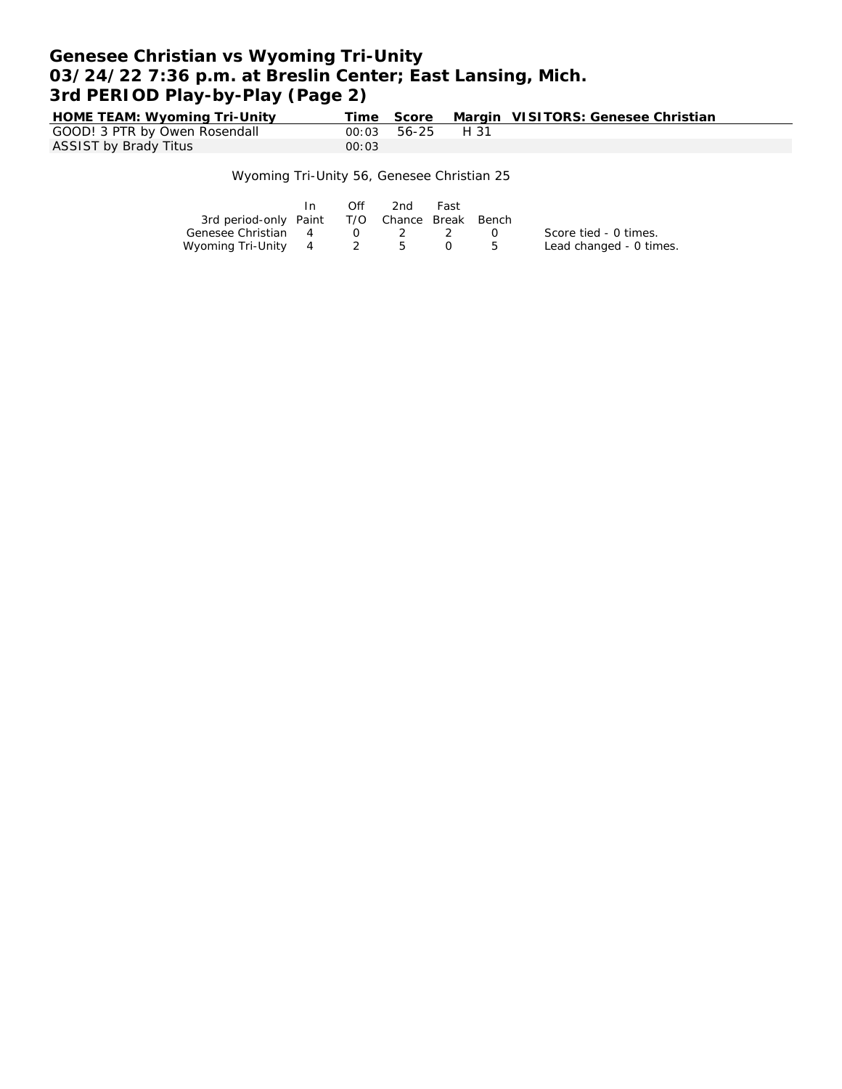# **Genesee Christian vs Wyoming Tri-Unity 03/24/22 7:36 p.m. at Breslin Center; East Lansing, Mich. 3rd PERIOD Play-by-Play (Page 2)**

**HOME TEAM: Wyoming Tri-Unity Time Score Margin VISITORS: Genesee Christian** GOOD! 3 PTR by Owen Rosendall  $00:03$  56-25 H 31<br>ASSIST by Brady Titus  $00:03$ ASSIST by Brady Titus

#### Wyoming Tri-Unity 56, Genesee Christian 25

|                                              | In. | Off      | 2nd | Fast |      |                         |
|----------------------------------------------|-----|----------|-----|------|------|-------------------------|
| 3rd period-only Paint T/O Chance Break Bench |     |          |     |      |      |                         |
| Genesee Christian 4                          |     | $\Omega$ |     |      | - 63 | Score tied - 0 times.   |
| Wyoming Tri-Unity 4 2 5                      |     |          |     |      |      | Lead changed - 0 times. |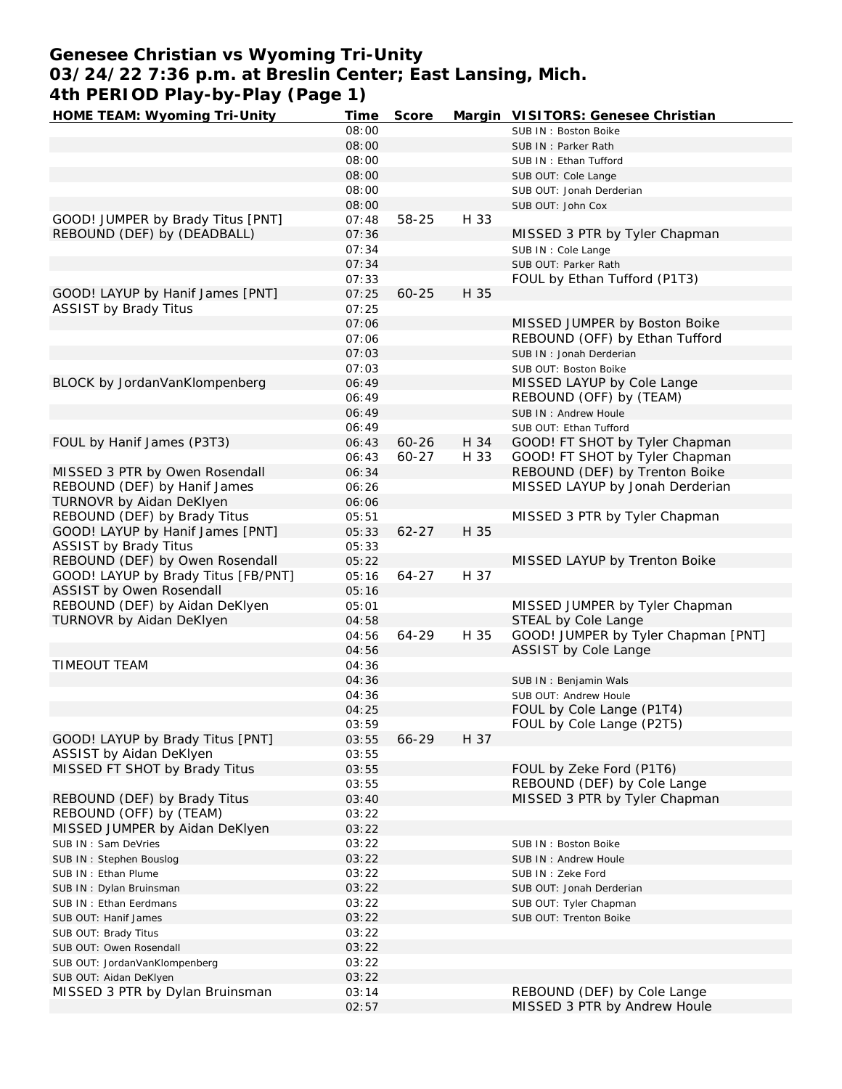# **Genesee Christian vs Wyoming Tri-Unity 03/24/22 7:36 p.m. at Breslin Center; East Lansing, Mich. 4th PERIOD Play-by-Play (Page 1)**

| HOME TEAM: Wyoming Tri-Unity        | Time  | Score     |      | Margin VISITORS: Genesee Christian  |
|-------------------------------------|-------|-----------|------|-------------------------------------|
|                                     | 08:00 |           |      | SUB IN: Boston Boike                |
|                                     | 08:00 |           |      | SUB IN: Parker Rath                 |
|                                     | 08:00 |           |      | SUB IN: Ethan Tufford               |
|                                     | 08:00 |           |      | SUB OUT: Cole Lange                 |
|                                     | 08:00 |           |      | SUB OUT: Jonah Derderian            |
|                                     | 08:00 |           |      | SUB OUT: John Cox                   |
| GOOD! JUMPER by Brady Titus [PNT]   | 07:48 | 58-25     | H 33 |                                     |
| REBOUND (DEF) by (DEADBALL)         | 07:36 |           |      | MISSED 3 PTR by Tyler Chapman       |
|                                     | 07:34 |           |      | SUB IN : Cole Lange                 |
|                                     | 07:34 |           |      | SUB OUT: Parker Rath                |
|                                     |       |           |      |                                     |
|                                     | 07:33 |           | H 35 | FOUL by Ethan Tufford (P1T3)        |
| GOOD! LAYUP by Hanif James [PNT]    | 07:25 | $60 - 25$ |      |                                     |
| <b>ASSIST by Brady Titus</b>        | 07:25 |           |      |                                     |
|                                     | 07:06 |           |      | MISSED JUMPER by Boston Boike       |
|                                     | 07:06 |           |      | REBOUND (OFF) by Ethan Tufford      |
|                                     | 07:03 |           |      | SUB IN: Jonah Derderian             |
|                                     | 07:03 |           |      | SUB OUT: Boston Boike               |
| BLOCK by JordanVanKlompenberg       | 06:49 |           |      | MISSED LAYUP by Cole Lange          |
|                                     | 06:49 |           |      | REBOUND (OFF) by (TEAM)             |
|                                     | 06:49 |           |      | SUB IN: Andrew Houle                |
|                                     | 06:49 |           |      | SUB OUT: Ethan Tufford              |
| FOUL by Hanif James (P3T3)          | 06:43 | $60 - 26$ | H 34 | GOOD! FT SHOT by Tyler Chapman      |
|                                     | 06:43 | $60 - 27$ | H 33 | GOOD! FT SHOT by Tyler Chapman      |
| MISSED 3 PTR by Owen Rosendall      | 06:34 |           |      | REBOUND (DEF) by Trenton Boike      |
| REBOUND (DEF) by Hanif James        | 06:26 |           |      | MISSED LAYUP by Jonah Derderian     |
| TURNOVR by Aidan DeKlyen            | 06:06 |           |      |                                     |
| REBOUND (DEF) by Brady Titus        | 05:51 |           |      | MISSED 3 PTR by Tyler Chapman       |
| GOOD! LAYUP by Hanif James [PNT]    |       | $62 - 27$ | H 35 |                                     |
|                                     | 05:33 |           |      |                                     |
| <b>ASSIST by Brady Titus</b>        | 05:33 |           |      |                                     |
| REBOUND (DEF) by Owen Rosendall     | 05:22 |           |      | MISSED LAYUP by Trenton Boike       |
| GOOD! LAYUP by Brady Titus [FB/PNT] | 05:16 | $64 - 27$ | H 37 |                                     |
| ASSIST by Owen Rosendall            | 05:16 |           |      |                                     |
| REBOUND (DEF) by Aidan DeKlyen      | 05:01 |           |      | MISSED JUMPER by Tyler Chapman      |
| TURNOVR by Aidan DeKlyen            | 04:58 |           |      | STEAL by Cole Lange                 |
|                                     | 04:56 | 64-29     | H 35 | GOOD! JUMPER by Tyler Chapman [PNT] |
|                                     | 04:56 |           |      | ASSIST by Cole Lange                |
| TIMEOUT TEAM                        | 04:36 |           |      |                                     |
|                                     | 04:36 |           |      | SUB IN: Benjamin Wals               |
|                                     | 04:36 |           |      | SUB OUT: Andrew Houle               |
|                                     | 04:25 |           |      | FOUL by Cole Lange (P1T4)           |
|                                     | 03:59 |           |      | FOUL by Cole Lange (P2T5)           |
| GOOD! LAYUP by Brady Titus [PNT]    | 03:55 | 66-29     | H 37 |                                     |
| ASSIST by Aidan DeKlyen             | 03:55 |           |      |                                     |
| MISSED FT SHOT by Brady Titus       | 03:55 |           |      | FOUL by Zeke Ford (P1T6)            |
|                                     | 03:55 |           |      | REBOUND (DEF) by Cole Lange         |
| REBOUND (DEF) by Brady Titus        | 03:40 |           |      | MISSED 3 PTR by Tyler Chapman       |
| REBOUND (OFF) by (TEAM)             | 03:22 |           |      |                                     |
| MISSED JUMPER by Aidan DeKlyen      | 03:22 |           |      |                                     |
|                                     |       |           |      |                                     |
| SUB IN: Sam DeVries                 | 03:22 |           |      | SUB IN: Boston Boike                |
| SUB IN: Stephen Bouslog             | 03:22 |           |      | SUB IN: Andrew Houle                |
| SUB IN: Ethan Plume                 | 03:22 |           |      | SUB IN: Zeke Ford                   |
| SUB IN: Dylan Bruinsman             | 03:22 |           |      | SUB OUT: Jonah Derderian            |
| SUB IN: Ethan Eerdmans              | 03:22 |           |      | SUB OUT: Tyler Chapman              |
| SUB OUT: Hanif James                | 03:22 |           |      | SUB OUT: Trenton Boike              |
| SUB OUT: Brady Titus                | 03:22 |           |      |                                     |
| SUB OUT: Owen Rosendall             | 03:22 |           |      |                                     |
| SUB OUT: JordanVanKlompenberg       | 03:22 |           |      |                                     |
| SUB OUT: Aidan DeKlyen              | 03:22 |           |      |                                     |
| MISSED 3 PTR by Dylan Bruinsman     | 03:14 |           |      | REBOUND (DEF) by Cole Lange         |
|                                     | 02:57 |           |      | MISSED 3 PTR by Andrew Houle        |
|                                     |       |           |      |                                     |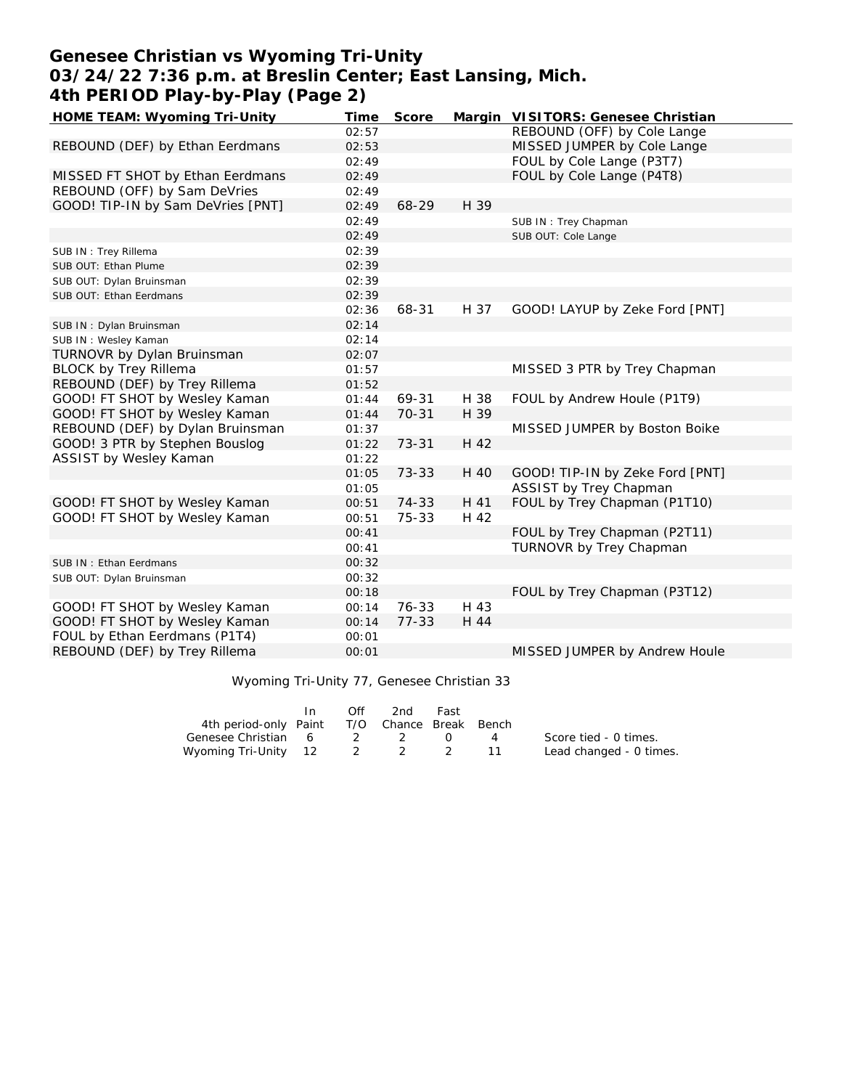# **Genesee Christian vs Wyoming Tri-Unity 03/24/22 7:36 p.m. at Breslin Center; East Lansing, Mich. 4th PERIOD Play-by-Play (Page 2)**

| HOME TEAM: Wyoming Tri-Unity      | Time  | Score     |      | Margin VISITORS: Genesee Christian |
|-----------------------------------|-------|-----------|------|------------------------------------|
|                                   | 02:57 |           |      | REBOUND (OFF) by Cole Lange        |
| REBOUND (DEF) by Ethan Eerdmans   | 02:53 |           |      | MISSED JUMPER by Cole Lange        |
|                                   | 02:49 |           |      | FOUL by Cole Lange (P3T7)          |
| MISSED FT SHOT by Ethan Eerdmans  | 02:49 |           |      | FOUL by Cole Lange (P4T8)          |
| REBOUND (OFF) by Sam DeVries      | 02:49 |           |      |                                    |
| GOOD! TIP-IN by Sam DeVries [PNT] | 02:49 | 68-29     | H 39 |                                    |
|                                   | 02:49 |           |      | SUB IN: Trey Chapman               |
|                                   | 02:49 |           |      | SUB OUT: Cole Lange                |
| SUB IN: Trey Rillema              | 02:39 |           |      |                                    |
| SUB OUT: Ethan Plume              | 02:39 |           |      |                                    |
| SUB OUT: Dylan Bruinsman          | 02:39 |           |      |                                    |
| SUB OUT: Ethan Eerdmans           | 02:39 |           |      |                                    |
|                                   | 02:36 | 68-31     | H 37 | GOOD! LAYUP by Zeke Ford [PNT]     |
| SUB IN: Dylan Bruinsman           | 02:14 |           |      |                                    |
| SUB IN: Wesley Kaman              | 02:14 |           |      |                                    |
| TURNOVR by Dylan Bruinsman        | 02:07 |           |      |                                    |
| <b>BLOCK by Trey Rillema</b>      | 01:57 |           |      | MISSED 3 PTR by Trey Chapman       |
| REBOUND (DEF) by Trey Rillema     | 01:52 |           |      |                                    |
| GOOD! FT SHOT by Wesley Kaman     | 01:44 | 69-31     | H 38 | FOUL by Andrew Houle (P1T9)        |
| GOOD! FT SHOT by Wesley Kaman     | 01:44 | $70 - 31$ | H 39 |                                    |
| REBOUND (DEF) by Dylan Bruinsman  | 01:37 |           |      | MISSED JUMPER by Boston Boike      |
| GOOD! 3 PTR by Stephen Bouslog    | 01:22 | $73 - 31$ | H 42 |                                    |
| ASSIST by Wesley Kaman            | 01:22 |           |      |                                    |
|                                   | 01:05 | 73-33     | H 40 | GOOD! TIP-IN by Zeke Ford [PNT]    |
|                                   | 01:05 |           |      | ASSIST by Trey Chapman             |
| GOOD! FT SHOT by Wesley Kaman     | 00:51 | 74-33     | H 41 | FOUL by Trey Chapman (P1T10)       |
| GOOD! FT SHOT by Wesley Kaman     | 00:51 | 75-33     | H 42 |                                    |
|                                   | 00:41 |           |      | FOUL by Trey Chapman (P2T11)       |
|                                   | 00:41 |           |      | TURNOVR by Trey Chapman            |
| SUB IN: Ethan Eerdmans            | 00:32 |           |      |                                    |
| SUB OUT: Dylan Bruinsman          | 00:32 |           |      |                                    |
|                                   | 00:18 |           |      | FOUL by Trey Chapman (P3T12)       |
| GOOD! FT SHOT by Wesley Kaman     | 00:14 | $76 - 33$ | H 43 |                                    |
| GOOD! FT SHOT by Wesley Kaman     | 00:14 | $77 - 33$ | H 44 |                                    |
| FOUL by Ethan Eerdmans (P1T4)     | 00:01 |           |      |                                    |
| REBOUND (DEF) by Trey Rillema     | 00:01 |           |      | MISSED JUMPER by Andrew Houle      |
|                                   |       |           |      |                                    |

### Wyoming Tri-Unity 77, Genesee Christian 33

|                                              | In. | Off | 2nd | Fast |                |                         |
|----------------------------------------------|-----|-----|-----|------|----------------|-------------------------|
| 4th period-only Paint T/O Chance Break Bench |     |     |     |      |                |                         |
| Genesee Christian 6 2 2                      |     |     |     |      | $\overline{4}$ | Score tied - 0 times.   |
| Wyoming Tri-Unity 12 2 2 2                   |     |     |     |      |                | Lead changed - 0 times. |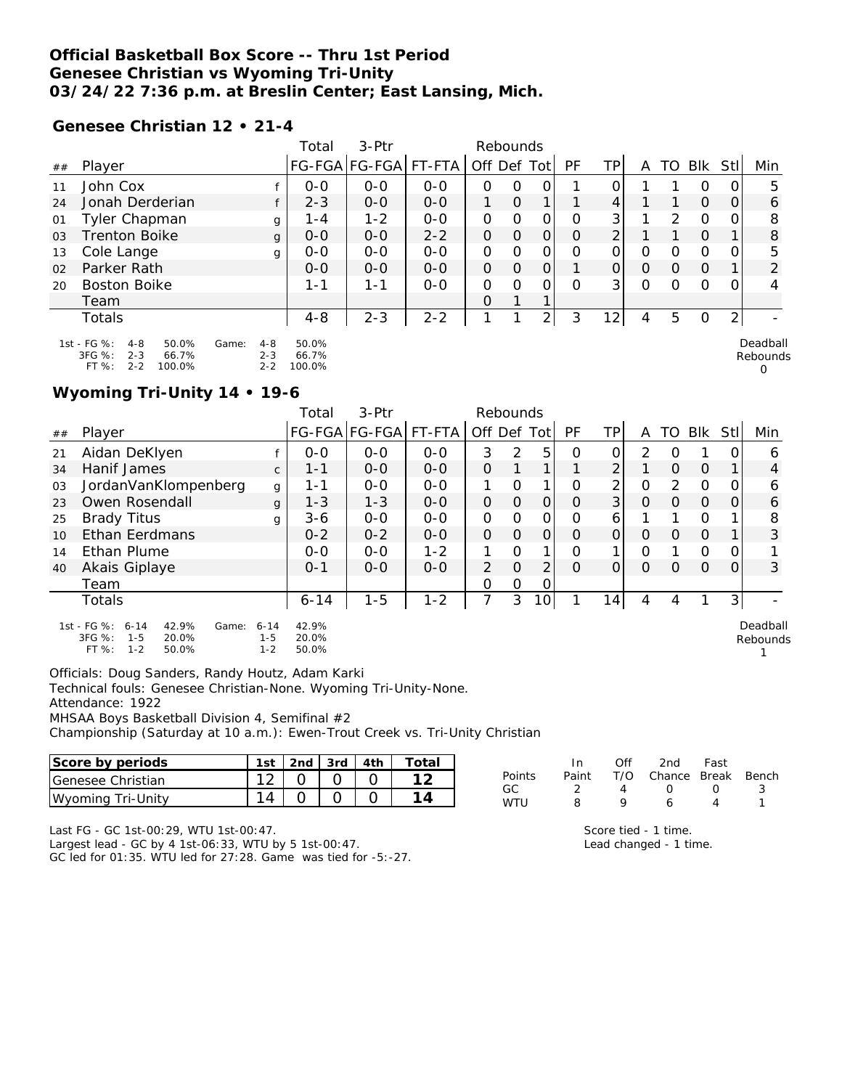### **Official Basketball Box Score -- Thru 1st Period Genesee Christian vs Wyoming Tri-Unity 03/24/22 7:36 p.m. at Breslin Center; East Lansing, Mich.**

#### **Genesee Christian 12 • 21-4**

|    |                                                                                             |                                        | Total                    | $3-Ptr$       |         | Rebounds    |               |                |    |                 |          |               |               |                |                           |
|----|---------------------------------------------------------------------------------------------|----------------------------------------|--------------------------|---------------|---------|-------------|---------------|----------------|----|-----------------|----------|---------------|---------------|----------------|---------------------------|
| ## | Player                                                                                      |                                        |                          | FG-FGA FG-FGA | FT-FTA  | Off Def Tot |               |                | PF | TP              | A        | TO            | Blk           | StII           | Min                       |
| 11 | John Cox                                                                                    |                                        | $O-O$                    | $O-O$         | $O - O$ | O           | 0             | 0              |    | O               |          |               | 0             | $\Omega$       | 5                         |
| 24 | Jonah Derderian                                                                             |                                        | $2 - 3$                  | $0 - 0$       | $O-O$   | 1           | $\mathcal{O}$ |                |    | 4               |          |               | $\mathcal{O}$ | $\overline{O}$ | 6                         |
| 01 | Tyler Chapman                                                                               | g                                      | $1 - 4$                  | $1 - 2$       | $0 - 0$ | O           | O             | 0              | 0  | 3 <sub>1</sub>  |          | $\mathcal{P}$ | $\mathcal{O}$ | 0              | 8                         |
| 03 | <b>Trenton Boike</b>                                                                        | g                                      | $0 - 0$                  | $0 - 0$       | $2 - 2$ | $\Omega$    | $\Omega$      | $\mathbf{O}$   | O  | 2               |          |               | $\Omega$      |                | 8                         |
| 13 | Cole Lange                                                                                  | g                                      | $O-O$                    | $0 - 0$       | $0 - 0$ | $\mathbf 0$ | O             | 0              | 0  | 0               | 0        | 0             | $\mathcal{O}$ | 0              | 5                         |
| 02 | Parker Rath                                                                                 |                                        | $O-O$                    | $0 - 0$       | $O - O$ | $\Omega$    | $\Omega$      | $\mathbf{O}$   |    | $\overline{O}$  | $\Omega$ | $\Omega$      | $\Omega$      |                | $\overline{2}$            |
| 20 | <b>Boston Boike</b>                                                                         |                                        | 1-1                      | 1-1           | $O - O$ | $\Omega$    | $\Omega$      | O              | Ω  | 3 <sup>1</sup>  | $\Omega$ | $\Omega$      | $\Omega$      | 0              | 4                         |
|    | Team                                                                                        |                                        |                          |               |         | $\Omega$    |               |                |    |                 |          |               |               |                |                           |
|    | Totals                                                                                      |                                        | $4 - 8$                  | $2 - 3$       | $2 - 2$ |             |               | $\overline{2}$ | 3  | 12 <sub>1</sub> | 4        | 5             | $\circ$       | 2 <sub>1</sub> |                           |
|    | 1st - FG %:<br>50.0%<br>$4 - 8$<br>3FG %:<br>$2 - 3$<br>66.7%<br>FT %:<br>$2 - 2$<br>100.0% | Game:<br>$4 - 8$<br>$2 - 3$<br>$2 - 2$ | 50.0%<br>66.7%<br>100.0% |               |         |             |               |                |    |                 |          |               |               |                | Deadball<br>Rebounds<br>0 |

#### **Wyoming Tri-Unity 14 • 19-6**

|    |                                                                                                      |                                | Total                   | 3-Ptr                |         | Rebounds       |          |          |          |                |          |          |               |                |                      |
|----|------------------------------------------------------------------------------------------------------|--------------------------------|-------------------------|----------------------|---------|----------------|----------|----------|----------|----------------|----------|----------|---------------|----------------|----------------------|
| ## | Player                                                                                               |                                |                         | FG-FGA FG-FGA FT-FTA |         | Off Def        |          | Totl     | PF       | ΤP             | A        | TO       | <b>BIK</b>    | Stll           | Min                  |
| 21 | Aidan DeKlyen                                                                                        |                                | $O - O$                 | $O-O$                | $0 - 0$ | 3              | 2        | 5.       | $\Omega$ | 0              | 2        | O        |               | 0              | 6                    |
| 34 | Hanif James                                                                                          | $\mathsf{C}$                   | 1-1                     | $O - O$              | $O - O$ | $\Omega$       |          | 1        |          | $\overline{2}$ |          | $\Omega$ | $\Omega$      |                | 4                    |
| 03 | JordanVanKlompenberg                                                                                 | $\mathbf{q}$                   | 1-1                     | $O-O$                | $O - O$ |                | O        |          | O        | 2              | 0        | 2        | $\Omega$      | 0              | 6                    |
| 23 | Owen Rosendall                                                                                       | g                              | $1 - 3$                 | $1 - 3$              | $0 - 0$ | 0              | $\Omega$ | $\Omega$ | $\Omega$ | 3              | $\Omega$ | $\Omega$ | $\mathcal{O}$ | $\overline{O}$ | 6                    |
| 25 | <b>Brady Titus</b>                                                                                   | g                              | $3-6$                   | $0 - 0$              | $0 - 0$ | 0              | O        | 0        | Ο        | 6              |          |          | O             |                | 8                    |
| 10 | Ethan Eerdmans                                                                                       |                                | $0 - 2$                 | $0 - 2$              | $O - O$ | 0              | $\Omega$ | $\Omega$ | $\Omega$ | Οl             | $\Omega$ | $\Omega$ | $\Omega$      |                | 3                    |
| 14 | Ethan Plume                                                                                          |                                | $O - O$                 | $O-O$                | $1 - 2$ |                | O        | 1        | Ο        |                | O        |          | O             | 0              |                      |
| 40 | Akais Giplaye                                                                                        |                                | $0 - 1$                 | $O - O$              | $O - O$ | $\overline{2}$ | $\Omega$ | 2        | $\Omega$ | $\Omega$       | $\Omega$ | Ο        | $\Omega$      | 0              | 3                    |
|    | Team                                                                                                 |                                |                         |                      |         | 0              | 0        | 0        |          |                |          |          |               |                |                      |
|    | Totals                                                                                               |                                | $6 - 14$                | $1 - 5$              | $1 - 2$ | 7              | 3        | 0        |          | 14             | 4        | 4        |               | $\overline{3}$ |                      |
|    | 1st - FG %:<br>42.9%<br>$6 - 14$<br>Game:<br>3FG %:<br>$1 - 5$<br>20.0%<br>FT %:<br>50.0%<br>$1 - 2$ | $6 - 14$<br>$1 - 5$<br>$1 - 2$ | 42.9%<br>20.0%<br>50.0% |                      |         |                |          |          |          |                |          |          |               |                | Deadball<br>Rebounds |

Officials: Doug Sanders, Randy Houtz, Adam Karki

Technical fouls: Genesee Christian-None. Wyoming Tri-Unity-None.

Attendance: 1922

MHSAA Boys Basketball Division 4, Semifinal #2

Championship (Saturday at 10 a.m.): Ewen-Trout Creek vs. Tri-Unity Christian

| Score by periods  | 1 <sub>ct</sub> | 3rd | Total |
|-------------------|-----------------|-----|-------|
| Genesee Christian |                 |     |       |
| Wyoming Tri-Unity |                 |     |       |

|        | In    | ∩ff | 2nd                    | Fast             |    |
|--------|-------|-----|------------------------|------------------|----|
| Points | Paint |     | T/O Chance Break Bench |                  |    |
| GC.    |       |     | $\left( \right)$       | $\left( \right)$ | ્ર |
| WTU    | Ω     | o   |                        |                  |    |

1

Last FG - GC 1st-00:29, WTU 1st-00:47.

Largest lead - GC by 4 1st-06:33, WTU by 5 1st-00:47. GC led for 01:35. WTU led for 27:28. Game was tied for -5:-27.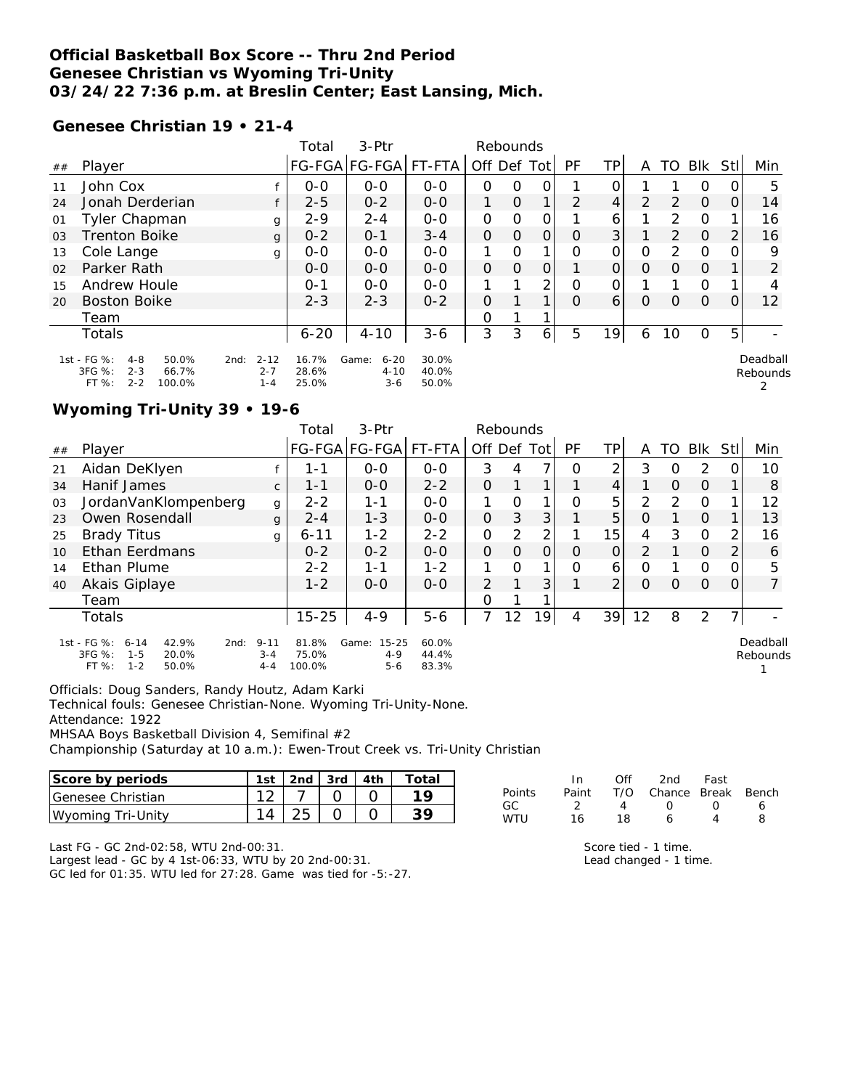### **Official Basketball Box Score -- Thru 2nd Period Genesee Christian vs Wyoming Tri-Unity 03/24/22 7:36 p.m. at Breslin Center; East Lansing, Mich.**

#### **Genesee Christian 19 • 21-4**

|                |                                                                                             |                                        | Total                   | 3-Ptr                                  |                         | Rebounds    |               |              |    |                |                |               |               |      |                      |
|----------------|---------------------------------------------------------------------------------------------|----------------------------------------|-------------------------|----------------------------------------|-------------------------|-------------|---------------|--------------|----|----------------|----------------|---------------|---------------|------|----------------------|
| ##             | Player                                                                                      |                                        |                         | FG-FGA FG-FGA  FT-FTA                  |                         | Off Def Tot |               |              | PF | ΤP             | A              |               | TO BIK        | Stll | Min                  |
| 11             | John Cox                                                                                    |                                        | $0 - 0$                 | $O - O$                                | $O - O$                 | 0           | O             | 0            |    | 0              |                |               | 0             |      | 5                    |
| 24             | Jonah Derderian                                                                             |                                        | $2 - 5$                 | $0 - 2$                                | $0 - 0$                 |             | $\mathcal{O}$ | $\mathbf{1}$ | 2  | 4 <sup>1</sup> | $\overline{2}$ | 2             | $\mathcal{O}$ | Ο    | 14                   |
| 01             | <b>Tyler Chapman</b>                                                                        | g                                      | $2 - 9$                 | $2 - 4$                                | $0 - 0$                 | O           | O             | 0            |    | 6              |                | 2             | $\Omega$      |      | 16                   |
| 0 <sub>3</sub> | <b>Trenton Boike</b>                                                                        | g                                      | $0 - 2$                 | $0 - 1$                                | $3 - 4$                 | $\Omega$    | $\Omega$      | $\Omega$     | O  | 3 <sup>1</sup> |                | $\mathcal{P}$ | $\Omega$      | 2    | 16                   |
| 13             | Cole Lange                                                                                  | g                                      | $0 - 0$                 | $0 - 0$                                | $0 - 0$                 |             | O             | 1            | Ω  | Ο              | 0              | 2             | $\circ$       |      | 9                    |
| 02             | Parker Rath                                                                                 |                                        | $0 - 0$                 | $O - O$                                | $0 - 0$                 | $\Omega$    | $\Omega$      | 0            |    | $\Omega$       | $\Omega$       | $\Omega$      | $\Omega$      |      | $\overline{2}$       |
| 15             | Andrew Houle                                                                                |                                        | $O - 1$                 | $0 - 0$                                | $O - O$                 |             | ◀             | 2            | 0  | 0              |                |               | $\Omega$      |      | 4                    |
| 20             | Boston Boike                                                                                |                                        | $2 - 3$                 | $2 - 3$                                | $0 - 2$                 | $\Omega$    |               | 1            | Ω  | 6              | O              | O             | $\Omega$      | Ο    | 12                   |
|                | Team                                                                                        |                                        |                         |                                        |                         | O           |               |              |    |                |                |               |               |      |                      |
|                | Totals                                                                                      |                                        | $6 - 20$                | $4 - 10$                               | $3 - 6$                 | 3           | 3             | $6 \mid$     | 5  | 19             | 6              | 10            | $\Omega$      | 5    |                      |
|                | 1st - FG %:<br>$4 - 8$<br>50.0%<br>3FG %:<br>$2 - 3$<br>66.7%<br>FT %:<br>$2 - 2$<br>100.0% | $2 - 12$<br>2nd:<br>$2 - 7$<br>$1 - 4$ | 16.7%<br>28.6%<br>25.0% | Game:<br>$6 - 20$<br>$4 - 10$<br>$3-6$ | 30.0%<br>40.0%<br>50.0% |             |               |              |    |                |                |               |               |      | Deadball<br>Rebounds |

### **Wyoming Tri-Unity 39 • 19-6**

|    |                                                                                                     |                                | Total                    | $3-Ptr$                                  |                         |                | Rebounds |                |           |                |                |          |          |                |                      |
|----|-----------------------------------------------------------------------------------------------------|--------------------------------|--------------------------|------------------------------------------|-------------------------|----------------|----------|----------------|-----------|----------------|----------------|----------|----------|----------------|----------------------|
| ## | Player                                                                                              |                                |                          | FG-FGA FG-FGA FT-FTA                     |                         | Off Def        |          | Totl           | <b>PF</b> | TР             | A              | TO       | Blk      | Stll           | Min                  |
| 21 | Aidan DeKlyen                                                                                       |                                | 1-1                      | $0 - 0$                                  | $0 - 0$                 | 3              | 4        | 7              | O         | 2              | 3              | 0        | 2        | Ο              | 10                   |
| 34 | Hanif James                                                                                         | $\mathsf{C}$                   | $1 - 1$                  | $O - O$                                  | $2 - 2$                 | $\Omega$       |          |                |           | 4              | 1              | $\Omega$ | $\Omega$ |                | 8                    |
| 03 | JordanVanKlompenberg                                                                                | g                              | $2 - 2$                  | 1-1                                      | $0 - 0$                 |                | O        |                | O         | 5              | 2              | 2        | $\Omega$ |                | 12                   |
| 23 | Owen Rosendall                                                                                      | $\mathbf{q}$                   | $2 - 4$                  | $1 - 3$                                  | $0 - 0$                 | $\Omega$       | 3        | 3 <sup>1</sup> |           | 5              | O              |          | $\Omega$ |                | 13                   |
| 25 | <b>Brady Titus</b>                                                                                  | g                              | $6 - 11$                 | $1 - 2$                                  | $2 - 2$                 | 0              | 2        | 2              |           | 15             | 4              | 3        | $\Omega$ | 2              | 16                   |
| 10 | Ethan Eerdmans                                                                                      |                                | $0 - 2$                  | $0 - 2$                                  | $O - O$                 | $\Omega$       | $\Omega$ | $\overline{O}$ | O         | $\overline{O}$ | $\overline{2}$ |          | $\Omega$ | $\overline{2}$ | 6                    |
| 14 | Ethan Plume                                                                                         |                                | $2 - 2$                  | 1-1                                      | $1 - 2$                 |                | O        | 1              | O         | $6 \mid$       | O              |          | O        | 0              | 5                    |
| 40 | Akais Giplaye                                                                                       |                                | $1 - 2$                  | $O - O$                                  | $O - O$                 | $\overline{2}$ |          | 3              |           | $\overline{2}$ | $\Omega$       | Ο        | $\Omega$ | 0              | $\overline{7}$       |
|    | Team                                                                                                |                                |                          |                                          |                         | 0              |          |                |           |                |                |          |          |                |                      |
|    | Totals                                                                                              |                                | $15 - 25$                | $4 - 9$                                  | $5 - 6$                 | 7              | 12       | 19             | 4         | 39             | 12             | 8        | 2        |                |                      |
|    | 1st - FG %:<br>42.9%<br>$6 - 14$<br>2nd:<br>3FG %:<br>$1 - 5$<br>20.0%<br>$1 - 2$<br>FT %:<br>50.0% | $9 - 11$<br>$3 - 4$<br>$4 - 4$ | 81.8%<br>75.0%<br>100.0% | $15 - 25$<br>Game:<br>$4 - 9$<br>$5 - 6$ | 60.0%<br>44.4%<br>83.3% |                |          |                |           |                |                |          |          |                | Deadball<br>Rebounds |

Officials: Doug Sanders, Randy Houtz, Adam Karki

Technical fouls: Genesee Christian-None. Wyoming Tri-Unity-None.

Attendance: 1922

MHSAA Boys Basketball Division 4, Semifinal #2

Championship (Saturday at 10 a.m.): Ewen-Trout Creek vs. Tri-Unity Christian

| Score by periods          | 1st | $2nd$ . | 3rd | 4th | Total - |        |       | Off |
|---------------------------|-----|---------|-----|-----|---------|--------|-------|-----|
| <b>IGenesee Christian</b> |     |         |     |     |         | Points | Paint |     |
| Wyoming Tri-Unity         |     |         |     |     | 30      | WTL    |       |     |

Last FG - GC 2nd-02:58, WTU 2nd-00:31.

Largest lead - GC by 4 1st-06:33, WTU by 20 2nd-00:31. GC led for 01:35. WTU led for 27:28. Game was tied for -5:-27.

| Points |     |                   | Paint T/O Chance Break Bench |                   |    |
|--------|-----|-------------------|------------------------------|-------------------|----|
| GC.    | - 2 | $\mathbf{\Delta}$ | $\cap$ $\cap$                |                   | 6  |
| WTU    | 16  | 18.               | 6.                           | $\mathbf{\Delta}$ | -8 |
|        |     |                   |                              |                   |    |

2nd Fast